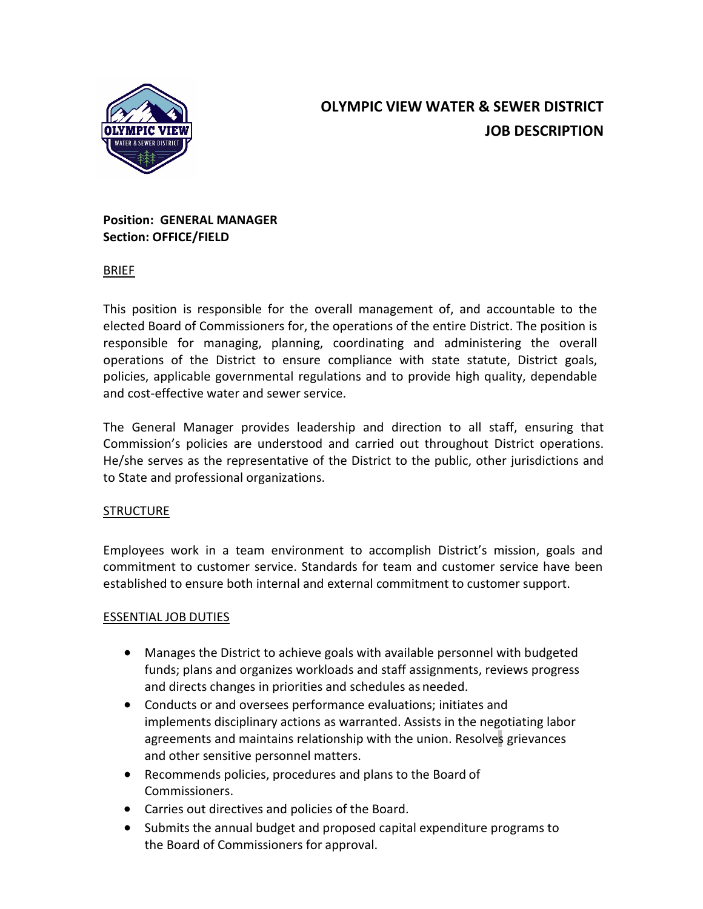

# **OLYMPIC VIEW WATER & SEWER DISTRICT JOB DESCRIPTION**

# **Position: GENERAL MANAGER Section: OFFICE/FIELD**

# BRIEF

This position is responsible for the overall management of, and accountable to the elected Board of Commissioners for, the operations of the entire District. The position is responsible for managing, planning, coordinating and administering the overall operations of the District to ensure compliance with state statute, District goals, policies, applicable governmental regulations and to provide high quality, dependable and cost-effective water and sewer service.

The General Manager provides leadership and direction to all staff, ensuring that Commission's policies are understood and carried out throughout District operations. He/she serves as the representative of the District to the public, other jurisdictions and to State and professional organizations.

# **STRUCTURE**

Employees work in a team environment to accomplish District's mission, goals and commitment to customer service. Standards for team and customer service have been established to ensure both internal and external commitment to customer support.

# ESSENTIAL JOB DUTIES

- Manages the District to achieve goals with available personnel with budgeted funds; plans and organizes workloads and staff assignments, reviews progress and directs changes in priorities and schedules as needed.
- Conducts or and oversees performance evaluations; initiates and implements disciplinary actions as warranted. Assists in the negotiating labor agreements and maintains relationship with the union. Resolves grievances and other sensitive personnel matters.
- Recommends policies, procedures and plans to the Board of Commissioners.
- Carries out directives and policies of the Board.
- Submits the annual budget and proposed capital expenditure programs to the Board of Commissioners for approval.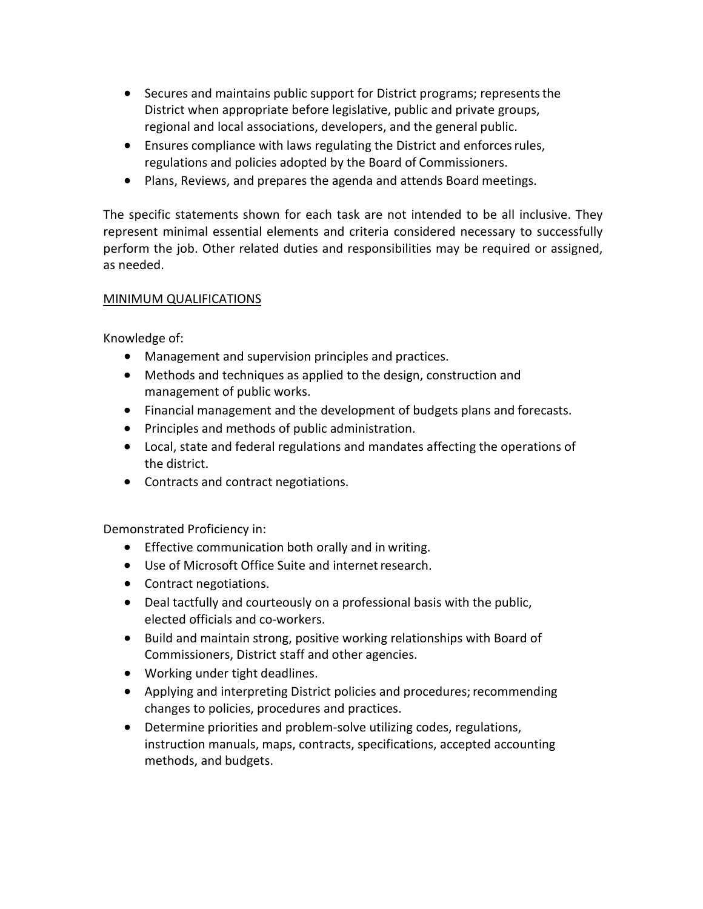- Secures and maintains public support for District programs; represents the District when appropriate before legislative, public and private groups, regional and local associations, developers, and the general public.
- Ensures compliance with laws regulating the District and enforces rules, regulations and policies adopted by the Board of Commissioners.
- Plans, Reviews, and prepares the agenda and attends Board meetings.

The specific statements shown for each task are not intended to be all inclusive. They represent minimal essential elements and criteria considered necessary to successfully perform the job. Other related duties and responsibilities may be required or assigned, as needed.

# MINIMUM QUALIFICATIONS

Knowledge of:

- Management and supervision principles and practices.
- Methods and techniques as applied to the design, construction and management of public works.
- Financial management and the development of budgets plans and forecasts.
- Principles and methods of public administration.
- Local, state and federal regulations and mandates affecting the operations of the district.
- Contracts and contract negotiations.

Demonstrated Proficiency in:

- Effective communication both orally and in writing.
- Use of Microsoft Office Suite and internet research.
- Contract negotiations.
- Deal tactfully and courteously on a professional basis with the public, elected officials and co-workers.
- Build and maintain strong, positive working relationships with Board of Commissioners, District staff and other agencies.
- Working under tight deadlines.
- Applying and interpreting District policies and procedures; recommending changes to policies, procedures and practices.
- Determine priorities and problem-solve utilizing codes, regulations, instruction manuals, maps, contracts, specifications, accepted accounting methods, and budgets.